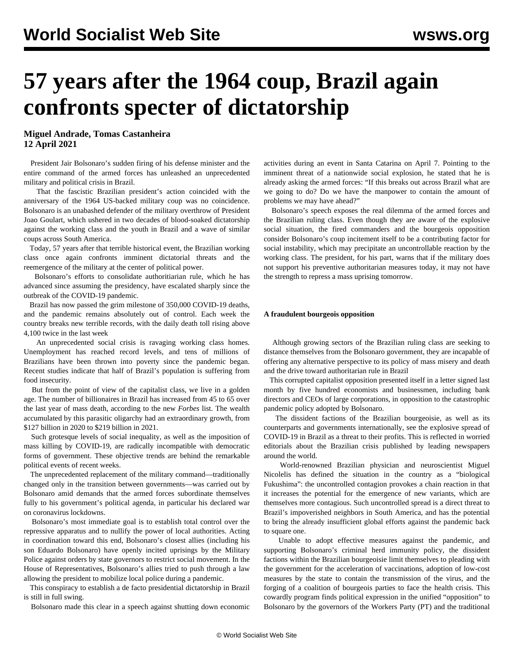# **57 years after the 1964 coup, Brazil again confronts specter of dictatorship**

**Miguel Andrade, Tomas Castanheira 12 April 2021**

 President Jair Bolsonaro's sudden firing of his defense minister and the entire command of the armed forces has unleashed an unprecedented military and political crisis in Brazil.

 That the fascistic Brazilian president's action coincided with the anniversary of the 1964 US-backed military coup was no coincidence. Bolsonaro is an unabashed defender of the military overthrow of President Joao Goulart, which ushered in two decades of blood-soaked dictatorship against the working class and the youth in Brazil and a wave of similar coups across South America.

 Today, 57 years after that terrible historical event, the Brazilian working class once again confronts imminent dictatorial threats and the reemergence of the military at the center of political power.

 Bolsonaro's efforts to consolidate authoritiarian rule, which he has advanced since assuming the presidency, have escalated sharply since the outbreak of the COVID-19 pandemic.

 Brazil has now passed the grim milestone of 350,000 COVID-19 deaths, and the pandemic remains absolutely out of control. Each week the country breaks new terrible records, with the daily death toll rising above 4,100 twice in the last week

 An unprecedented social crisis is ravaging working class homes. Unemployment has reached record levels, and tens of millions of Brazilians have been thrown into poverty since the pandemic began. Recent studies indicate that half of Brazil's population is suffering from food insecurity.

 But from the point of view of the capitalist class, we live in a golden age. The number of billionaires in Brazil has increased from 45 to 65 over the last year of mass death, according to the new *Forbes* list. The wealth accumulated by this parasitic oligarchy had an extraordinary growth, from \$127 billion in 2020 to \$219 billion in 2021.

 Such grotesque levels of social inequality, as well as the imposition of mass killing by COVID-19, are radically incompatible with democratic forms of government. These objective trends are behind the remarkable political events of recent weeks.

 The unprecedented replacement of the military command—traditionally changed only in the transition between governments—was carried out by Bolsonaro amid demands that the armed forces subordinate themselves fully to his government's political agenda, in particular his declared war on coronavirus lockdowns.

 Bolsonaro's most immediate goal is to establish total control over the repressive apparatus and to nullify the power of local authorities. Acting in coordination toward this end, Bolsonaro's closest allies (including his son Eduardo Bolsonaro) have openly incited uprisings by the Military Police against orders by state governors to restrict social movement. In the House of Representatives, Bolsonaro's allies tried to push through a law allowing the president to mobilize local police during a pandemic.

 This conspiracy to establish a de facto presidential dictatorship in Brazil is still in full swing.

Bolsonaro made this clear in a speech against shutting down economic

activities during an event in Santa Catarina on April 7. Pointing to the imminent threat of a nationwide social explosion, he stated that he is already asking the armed forces: "If this breaks out across Brazil what are we going to do? Do we have the manpower to contain the amount of problems we may have ahead?"

 Bolsonaro's speech exposes the real dilemma of the armed forces and the Brazilian ruling class. Even though they are aware of the explosive social situation, the fired commanders and the bourgeois opposition consider Bolsonaro's coup incitement itself to be a contributing factor for social instability, which may precipitate an uncontrollable reaction by the working class. The president, for his part, warns that if the military does not support his preventive authoritarian measures today, it may not have the strength to repress a mass uprising tomorrow.

## **A fraudulent bourgeois opposition**

 Although growing sectors of the Brazilian ruling class are seeking to distance themselves from the Bolsonaro government, they are incapable of offering any alternative perspective to its policy of mass misery and death and the drive toward authoritarian rule in Brazil

 This corrupted capitalist opposition presented itself in a letter signed last month by five hundred economists and businessmen, including bank directors and CEOs of large corporations, in opposition to the catastrophic pandemic policy adopted by Bolsonaro.

 The dissident factions of the Brazilian bourgeoisie, as well as its counterparts and governments internationally, see the explosive spread of COVID-19 in Brazil as a threat to their profits. This is reflected in worried editorials about the Brazilian crisis published by leading newspapers around the world.

 World-renowned Brazilian physician and neuroscientist Miguel Nicolelis has defined the situation in the country as a "biological Fukushima": the uncontrolled contagion provokes a chain reaction in that it increases the potential for the emergence of new variants, which are themselves more contagious. Such uncontrolled spread is a direct threat to Brazil's impoverished neighbors in South America, and has the potential to bring the already insufficient global efforts against the pandemic back to square one.

 Unable to adopt effective measures against the pandemic, and supporting Bolsonaro's criminal herd immunity policy, the dissident factions within the Brazilian bourgeoisie limit themselves to pleading with the government for the acceleration of vaccinations, adoption of low-cost measures by the state to contain the transmission of the virus, and the forging of a coalition of bourgeois parties to face the health crisis. This cowardly program finds political expression in the unified "opposition" to Bolsonaro by the governors of the Workers Party (PT) and the traditional